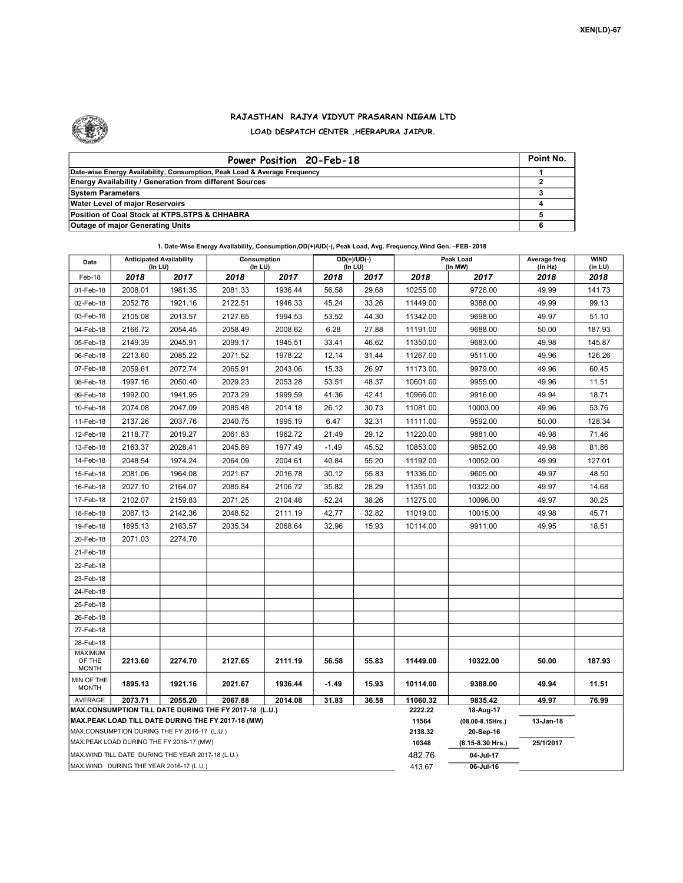

## RAJASTHAN RAJYA VIDYUT PRASARAN NIGAM LTD LOAD DESPATCH CENTER ,HEERAPURA JAIPUR.

| Power Position 20-Feb-18                                                  | Point No. |
|---------------------------------------------------------------------------|-----------|
| Date-wise Energy Availability, Consumption, Peak Load & Average Frequency |           |
| <b>Energy Availability / Generation from different Sources</b>            |           |
| <b>System Parameters</b>                                                  |           |
| <b>Water Level of major Reservoirs</b>                                    |           |
| Position of Coal Stock at KTPS, STPS & CHHABRA                            |           |
| <b>Outage of major Generating Units</b>                                   |           |

| Date                                                                                               | <b>Anticipated Availability</b><br>(In LU) |         | Consumption<br>(In LU) |         | $OD(+)/UD(-)$<br>(In LU) |                  | Peak Load<br>(In MW)               |           | Average freq.<br>(In Hz) | <b>WIND</b><br>(in LU) |
|----------------------------------------------------------------------------------------------------|--------------------------------------------|---------|------------------------|---------|--------------------------|------------------|------------------------------------|-----------|--------------------------|------------------------|
| Feb-18                                                                                             | 2018                                       | 2017    | 2018                   | 2017    | 2018                     | 2017             | 2018                               | 2017      | 2018                     | 2018                   |
| 01-Feb-18                                                                                          | 2008.01                                    | 1981.35 | 2081.33                | 1936.44 | 56.58                    | 29.68            | 10255.00                           | 9726.00   | 49.99                    | 141.73                 |
| 02-Feb-18                                                                                          | 2052.78                                    | 1921.16 | 2122.51                | 1946.33 | 45.24                    | 33.26            | 11449.00                           | 9388.00   | 49.99                    | 99.13                  |
| 03-Feb-18                                                                                          | 2105.08                                    | 2013.57 | 2127.65                | 1994.53 | 53.52                    | 44.30            | 11342.00                           | 9698.00   | 49.97                    | 51.10                  |
| 04-Feb-18                                                                                          | 2166.72                                    | 2054.45 | 2058.49                | 2008.62 | 6.28                     | 27.88            | 11191.00                           | 9688.00   | 50.00                    | 187.93                 |
| 05-Feb-18                                                                                          | 2149.39                                    | 2045.91 | 2099.17                | 1945.51 | 33.41                    | 46.62            | 11350.00                           | 9683.00   | 49.98                    | 145.87                 |
| 06-Feb-18                                                                                          | 2213.60                                    | 2085.22 | 2071.52                | 1978.22 | 12.14                    | 31.44            | 11267.00                           | 9511.00   | 49.96                    | 126.26                 |
| 07-Feb-18                                                                                          | 2059.61                                    | 2072.74 | 2065.91                | 2043.06 | 15.33                    | 26.97            | 11173.00                           | 9979.00   | 49.96                    | 60.45                  |
| 08-Feb-18                                                                                          | 1997.16                                    | 2050.40 | 2029.23                | 2053.28 | 53.51                    | 48.37            | 10601.00                           | 9955.00   | 49.96                    | 11.51                  |
| 09-Feb-18                                                                                          | 1992.00                                    | 1941.95 | 2073.29                | 1999.59 | 41.36                    | 42.41            | 10966.00                           | 9916.00   | 49.94                    | 18.71                  |
| 10-Feb-18                                                                                          | 2074.08                                    | 2047.09 | 2085.48                | 2014.18 | 26.12                    | 30.73            | 11081.00                           | 10003.00  | 49.96                    | 53.76                  |
| 11-Feb-18                                                                                          | 2137.26                                    | 2037.76 | 2040.75                | 1995.19 | 6.47                     | 32.31            | 11111.00                           | 9592.00   | 50.00                    | 128.34                 |
| 12-Feb-18                                                                                          | 2118.77                                    | 2019.27 | 2061.83                | 1962.72 | 21.49                    | 29.12            | 11220.00                           | 9881.00   | 49.98                    | 71.46                  |
| 13-Feb-18                                                                                          | 2163.37                                    | 2028.41 | 2045.89                | 1977.49 | $-1.49$                  | 45.52            | 10853.00                           | 9852.00   | 49.98                    | 81.86                  |
| 14-Feb-18                                                                                          | 2048.54                                    | 1974.24 | 2064.09                | 2004.61 | 40.84                    | 55.20            | 11192.00                           | 10052.00  | 49.99                    | 127.01                 |
| 15-Feb-18                                                                                          | 2081.06                                    | 1964.08 | 2021.67                | 2016.78 | 30.12                    | 55.83            | 11336.00                           | 9605.00   | 49.97                    | 48.50                  |
| 16-Feb-18                                                                                          | 2027.10                                    | 2164.07 | 2085.84                | 2106.72 | 35.82                    | 28.29            | 11351.00                           | 10322.00  | 49.97                    | 14.68                  |
| 17-Feb-18                                                                                          | 2102.07                                    | 2159.83 | 2071.25                | 2104.46 | 52.24                    | 38.26            | 11275.00                           | 10096.00  | 49.97                    | 30.25                  |
| 18-Feb-18                                                                                          | 2067.13                                    | 2142.36 | 2048.52                | 2111.19 | 42.77                    | 32.82            | 11019.00                           | 10015.00  | 49.98                    | 45.71                  |
| 19-Feb-18                                                                                          | 1895.13                                    | 2163.57 | 2035.34                | 2068.64 | 32.96                    | 15.93            | 10114.00                           | 9911.00   | 49.95                    | 18.51                  |
| 20-Feb-18                                                                                          | 2071.03                                    | 2274.70 |                        |         |                          |                  |                                    |           |                          |                        |
| 21-Feb-18                                                                                          |                                            |         |                        |         |                          |                  |                                    |           |                          |                        |
| 22-Feb-18                                                                                          |                                            |         |                        |         |                          |                  |                                    |           |                          |                        |
| 23-Feb-18                                                                                          |                                            |         |                        |         |                          |                  |                                    |           |                          |                        |
| 24-Feb-18                                                                                          |                                            |         |                        |         |                          |                  |                                    |           |                          |                        |
| 25-Feb-18                                                                                          |                                            |         |                        |         |                          |                  |                                    |           |                          |                        |
| 26-Feb-18                                                                                          |                                            |         |                        |         |                          |                  |                                    |           |                          |                        |
| 27-Feb-18                                                                                          |                                            |         |                        |         |                          |                  |                                    |           |                          |                        |
| 28-Feb-18                                                                                          |                                            |         |                        |         |                          |                  |                                    |           |                          |                        |
| <b>MAXIMUM</b><br>OF THE<br><b>MONTH</b>                                                           | 2213.60                                    | 2274.70 | 2127.65                | 2111.19 | 56.58                    | 55.83            | 11449.00                           | 10322.00  | 50.00                    | 187.93                 |
| MIN OF THE<br><b>MONTH</b>                                                                         | 1895.13                                    | 1921.16 | 2021.67                | 1936.44 | $-1.49$                  | 15.93            | 10114.00                           | 9388.00   | 49.94                    | 11.51                  |
| AVERAGE                                                                                            | 2073.71                                    | 2055.20 | 2067.88                | 2014.08 | 31.83                    | 36.58            | 11060.32                           | 9835.42   | 49.97                    | 76.99                  |
| MAX.CONSUMPTION TILL DATE DURING THE FY 2017-18 (L.U.)                                             |                                            |         |                        |         |                          | 2222.22          | 18-Aug-17                          |           |                          |                        |
| MAX.PEAK LOAD TILL DATE DURING THE FY 2017-18 (MW)<br>MAX.CONSUMPTION DURING THE FY 2016-17 (L.U.) |                                            |         |                        |         |                          | 11564<br>2138.32 | $(08.00 - 8.15$ Hrs.)<br>20-Sep-16 | 13-Jan-18 |                          |                        |
| MAX.PEAK LOAD DURING THE FY 2016-17 (MW)                                                           |                                            |         |                        |         |                          | 10348            | (8.15-8.30 Hrs.)                   | 25/1/2017 |                          |                        |
| MAX. WIND TILL DATE DURING THE YEAR 2017-18 (L.U.)                                                 |                                            |         |                        |         |                          | 482.76           | 04-Jul-17                          |           |                          |                        |
| MAX.WIND DURING THE YEAR 2016-17 (L.U.)                                                            |                                            |         |                        |         |                          |                  | 413.67                             | 06-Jul-16 |                          |                        |

1. Date-Wise Energy Availability, Consumption,OD(+)/UD(-), Peak Load, Avg. Frequency,Wind Gen. –FEB- 2018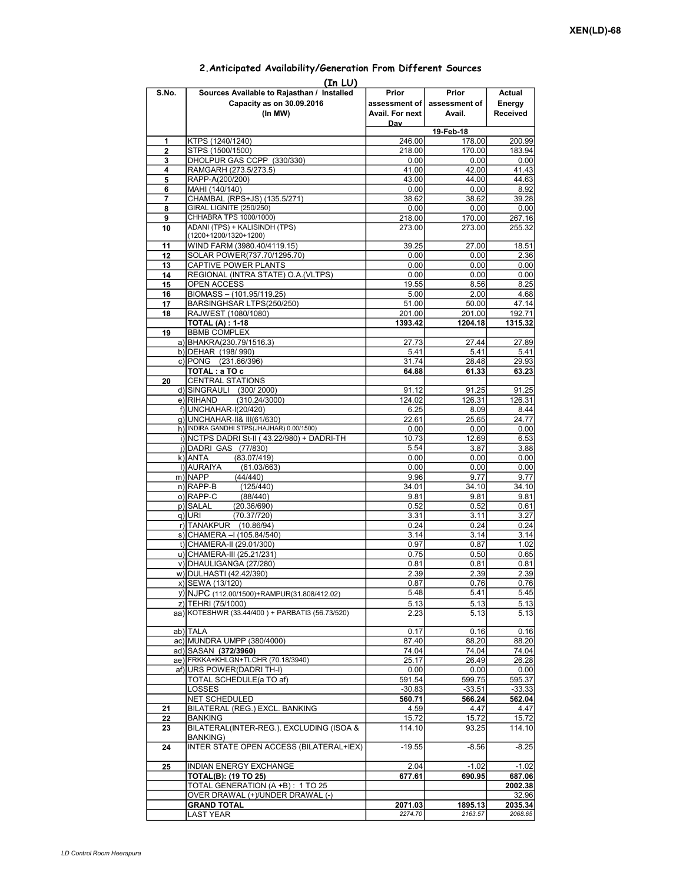| (In LU)     |                                                                                    |                                           |                                  |                              |  |  |  |  |  |  |
|-------------|------------------------------------------------------------------------------------|-------------------------------------------|----------------------------------|------------------------------|--|--|--|--|--|--|
| S.No.       | Sources Available to Rajasthan / Installed<br>Capacity as on 30.09.2016<br>(In MW) | Prior<br>assessment of<br>Avail. For next | Prior<br>assessment of<br>Avail. | Actual<br>Energy<br>Received |  |  |  |  |  |  |
|             |                                                                                    | Day<br>19-Feb-18                          |                                  |                              |  |  |  |  |  |  |
| 1           | KTPS (1240/1240)                                                                   | 246.00                                    | 178.00                           | 200.99                       |  |  |  |  |  |  |
| $\mathbf 2$ | STPS (1500/1500)                                                                   | 218.00                                    | 170.00                           | 183.94                       |  |  |  |  |  |  |
| 3           | DHOLPUR GAS CCPP (330/330)                                                         | 0.00                                      | 0.00                             | 0.00                         |  |  |  |  |  |  |
| 4           | RAMGARH (273.5/273.5)                                                              | 41.00                                     | 42.00                            | 41.43                        |  |  |  |  |  |  |
| 5           | RAPP-A(200/200)                                                                    | 43.00                                     | 44.00                            | 44.63                        |  |  |  |  |  |  |
| 6           | MAHI (140/140)                                                                     | 0.00                                      | 0.00                             | 8.92                         |  |  |  |  |  |  |
| 7           | CHAMBAL (RPS+JS) (135.5/271)                                                       | 38.62                                     | 38.62                            | 39.28                        |  |  |  |  |  |  |
| 8           | <b>GIRAL LIGNITE (250/250)</b>                                                     | 0.00                                      | 0.00                             | 0.00                         |  |  |  |  |  |  |
| 9           | CHHABRA TPS 1000/1000)                                                             | 218.00                                    | 170.00                           | 267.16                       |  |  |  |  |  |  |
| 10          | ADANI (TPS) + KALISINDH (TPS)<br>(1200+1200/1320+1200)                             | 273.00                                    | 273.00                           | 255.32                       |  |  |  |  |  |  |
| 11          | WIND FARM (3980.40/4119.15)                                                        | 39.25                                     | 27.00                            | 18.51                        |  |  |  |  |  |  |
| 12          | SOLAR POWER(737.70/1295.70)                                                        | 0.00                                      | 0.00                             | 2.36                         |  |  |  |  |  |  |
| 13          | CAPTIVE POWER PLANTS                                                               | 0.00                                      | 0.00                             | 0.00                         |  |  |  |  |  |  |
| 14          | REGIONAL (INTRA STATE) O.A. (VLTPS)                                                | 0.00                                      | 0.00                             | 0.00                         |  |  |  |  |  |  |
| 15          | <b>OPEN ACCESS</b>                                                                 | 19.55                                     | 8.56                             | 8.25                         |  |  |  |  |  |  |
| 16          | BIOMASS - (101.95/119.25)                                                          | 5.00                                      | 2.00                             | 4.68                         |  |  |  |  |  |  |
| 17          | BARSINGHSAR LTPS(250/250)                                                          | 51.00                                     | 50.00                            | 47.14                        |  |  |  |  |  |  |
| 18          | RAJWEST (1080/1080)                                                                | 201.00                                    | 201.00                           | 192.71                       |  |  |  |  |  |  |
|             | <b>TOTAL (A): 1-18</b>                                                             | 1393.42                                   | 1204.18                          | 1315.32                      |  |  |  |  |  |  |
| 19          | <b>BBMB COMPLEX</b>                                                                |                                           |                                  |                              |  |  |  |  |  |  |
|             | a) BHAKRA(230.79/1516.3)                                                           | 27.73                                     | 27.44                            | 27.89                        |  |  |  |  |  |  |
|             | b) DEHAR (198/990)                                                                 | 5.41                                      | 5.41                             | 5.41                         |  |  |  |  |  |  |
|             | c) PONG (231.66/396)<br>TOTAL: a TO c                                              | 31.74                                     | 28.48                            | 29.93                        |  |  |  |  |  |  |
| 20          | <b>CENTRAL STATIONS</b>                                                            | 64.88                                     | 61.33                            | 63.23                        |  |  |  |  |  |  |
|             | d) SINGRAULI (300/2000)                                                            | 91.12                                     | 91.25                            | 91.25                        |  |  |  |  |  |  |
|             | e) RIHAND<br>(310.24/3000)                                                         | 124.02                                    | 126.31                           | 126.31                       |  |  |  |  |  |  |
|             | f) UNCHAHAR-I(20/420)                                                              | 6.25                                      | 8.09                             | 8.44                         |  |  |  |  |  |  |
|             | q) UNCHAHAR-II& III(61/630)                                                        | 22.61                                     | 25.65                            | 24.77                        |  |  |  |  |  |  |
|             | h) INDIRA GANDHI STPS(JHAJHAR) 0.00/1500)                                          | 0.00                                      | 0.00                             | 0.00                         |  |  |  |  |  |  |
|             | i) NCTPS DADRI St-II (43.22/980) + DADRI-TH                                        | 10.73                                     | 12.69                            | 6.53                         |  |  |  |  |  |  |
|             | j) DADRI GAS (77/830)                                                              | 5.54                                      | 3.87                             | 3.88                         |  |  |  |  |  |  |
|             | k) ANTA<br>(83.07/419)                                                             | 0.00                                      | 0.00                             | 0.00                         |  |  |  |  |  |  |
|             | I) AURAIYA<br>(61.03/663)                                                          | 0.00                                      | 0.00                             | 0.00                         |  |  |  |  |  |  |
|             | m) NAPP<br>(44/440)                                                                | 9.96                                      | 9.77                             | 9.77                         |  |  |  |  |  |  |
|             | $n)$ RAPP-B<br>(125/440)                                                           | 34.01                                     | 34.10                            | 34.10                        |  |  |  |  |  |  |
|             | o) RAPP-C<br>(88/440)                                                              | 9.81                                      | 9.81                             | 9.81                         |  |  |  |  |  |  |
|             | p) SALAL<br>(20.36/690)                                                            | 0.52                                      | 0.52                             | 0.61                         |  |  |  |  |  |  |
|             | (70.37/720)<br>q) URI                                                              | 3.31                                      | 3.11                             | 3.27                         |  |  |  |  |  |  |
|             | r) TANAKPUR<br>(10.86/94)<br>s) CHAMERA - (105.84/540)                             | 0.24<br>3.14                              | 0.24<br>3.14                     | 0.24<br>3.14                 |  |  |  |  |  |  |
|             | t) CHAMERA-II (29.01/300)                                                          | 0.97                                      | 0.87                             | 1.02                         |  |  |  |  |  |  |
|             | u) CHAMERA-III (25.21/231)                                                         | 0.75                                      | 0.50                             | 0.65                         |  |  |  |  |  |  |
|             | v) DHAULIGANGA (27/280)                                                            | 0.81                                      | 0.81                             | 0.81                         |  |  |  |  |  |  |
|             | w) DULHASTI (42.42/390)                                                            | 2.39                                      | 2.39I                            | 2.39                         |  |  |  |  |  |  |
|             | x) SEWA (13/120)                                                                   | 0.87                                      | 0.76                             | 0.76                         |  |  |  |  |  |  |
|             | y) NJPC (112.00/1500) + RAMPUR(31.808/412.02)                                      | 5.48                                      | 5.41                             | 5.45                         |  |  |  |  |  |  |
|             | z) TEHRI (75/1000)                                                                 | 5.13                                      | 5.13                             | 5.13                         |  |  |  |  |  |  |
|             | aa) KOTESHWR (33.44/400) + PARBATI3 (56.73/520)                                    | 2.23                                      | 5.13                             | 5.13                         |  |  |  |  |  |  |
|             |                                                                                    |                                           |                                  |                              |  |  |  |  |  |  |
|             | ab) TALA                                                                           | 0.17                                      | 0.16                             | 0.16                         |  |  |  |  |  |  |
|             | ac) MUNDRA UMPP (380/4000)                                                         | 87.40                                     | 88.20                            | 88.20                        |  |  |  |  |  |  |
|             | ad) SASAN (372/3960)                                                               | 74.04                                     | 74.04                            | 74.04                        |  |  |  |  |  |  |
|             | ae) FRKKA+KHLGN+TLCHR (70.18/3940)                                                 | 25.17                                     | 26.49                            | 26.28                        |  |  |  |  |  |  |
|             | af) URS POWER(DADRI TH-I)                                                          | 0.00                                      | 0.00                             | 0.00                         |  |  |  |  |  |  |
|             | TOTAL SCHEDULE(a TO af)                                                            | 591.54                                    | 599.75                           | 595.37                       |  |  |  |  |  |  |
|             | LOSSES                                                                             | $-30.83$                                  | $-33.51$                         | $-33.33$                     |  |  |  |  |  |  |
|             | NET SCHEDULED<br>BILATERAL (REG.) EXCL. BANKING                                    | 560.71                                    | 566.24                           | 562.04<br>4.47               |  |  |  |  |  |  |
| 21<br>22    | <b>BANKING</b>                                                                     | 4.59<br>15.72                             | 4.47<br>15.72                    | 15.72                        |  |  |  |  |  |  |
| 23          | BILATERAL(INTER-REG.). EXCLUDING (ISOA &                                           | 114.10                                    | 93.25                            | 114.10                       |  |  |  |  |  |  |
|             | <b>BANKING)</b>                                                                    |                                           |                                  |                              |  |  |  |  |  |  |
| 24          | INTER STATE OPEN ACCESS (BILATERAL+IEX)                                            | $-19.55$                                  | $-8.56$                          | $-8.25$                      |  |  |  |  |  |  |
| 25          | INDIAN ENERGY EXCHANGE                                                             | 2.04                                      | $-1.02$                          | $-1.02$                      |  |  |  |  |  |  |
|             | TOTAL(B): (19 TO 25)                                                               | 677.61                                    | 690.95                           | 687.06                       |  |  |  |  |  |  |
|             | TOTAL GENERATION (A +B): 1 TO 25                                                   |                                           |                                  | 2002.38                      |  |  |  |  |  |  |
|             | OVER DRAWAL (+)/UNDER DRAWAL (-)                                                   |                                           |                                  | 32.96                        |  |  |  |  |  |  |
|             | <b>GRAND TOTAL</b>                                                                 | 2071.03                                   | 1895.13                          | 2035.34                      |  |  |  |  |  |  |
|             | LAST YEAR                                                                          | 2274.70                                   | 2163.57                          | 2068.65                      |  |  |  |  |  |  |

## 2.Anticipated Availability/Generation From Different Sources